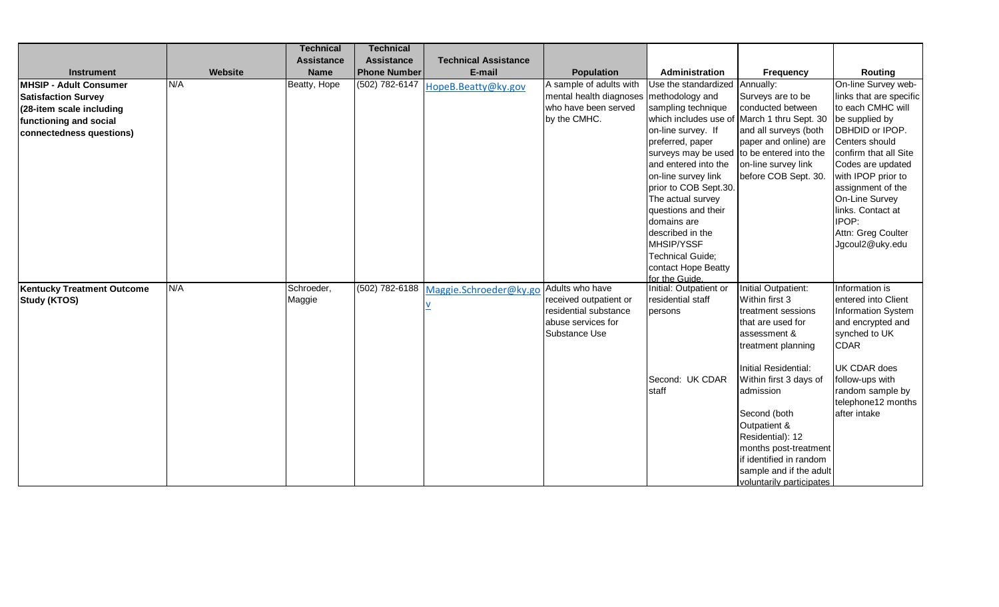|                                   |         | <b>Technical</b>  | <b>Technical</b>    |                             |                                           |                                             |                                            |                                       |
|-----------------------------------|---------|-------------------|---------------------|-----------------------------|-------------------------------------------|---------------------------------------------|--------------------------------------------|---------------------------------------|
|                                   |         | <b>Assistance</b> | <b>Assistance</b>   | <b>Technical Assistance</b> |                                           |                                             |                                            |                                       |
| Instrument                        | Website | <b>Name</b>       | <b>Phone Number</b> | E-mail                      | <b>Population</b>                         | Administration                              | Frequency                                  | Routing                               |
| MHSIP - Adult Consumer            | N/A     | Beatty, Hope      | (502) 782-6147      | HopeB.Beatty@ky.gov         | A sample of adults with                   | Use the standardized Annually:              |                                            | On-line Survey web-                   |
| <b>Satisfaction Survey</b>        |         |                   |                     |                             | mental health diagnoses                   | methodology and                             | Surveys are to be                          | links that are specific               |
| (28-item scale including          |         |                   |                     |                             | who have been served                      | sampling technique                          | conducted between                          | to each CMHC will                     |
| functioning and social            |         |                   |                     |                             | by the CMHC.                              | which includes use of                       | March 1 thru Sept. 30                      | be supplied by                        |
| connectedness questions)          |         |                   |                     |                             |                                           | on-line survey. If                          | and all surveys (both                      | DBHDID or IPOP.                       |
|                                   |         |                   |                     |                             |                                           | preferred, paper                            | paper and online) are                      | Centers should                        |
|                                   |         |                   |                     |                             |                                           |                                             | surveys may be used to be entered into the | confirm that all Site                 |
|                                   |         |                   |                     |                             |                                           | and entered into the                        | on-line survey link                        | Codes are updated                     |
|                                   |         |                   |                     |                             |                                           | on-line survey link                         | before COB Sept. 30.                       | with IPOP prior to                    |
|                                   |         |                   |                     |                             |                                           | prior to COB Sept.30.                       |                                            | assignment of the                     |
|                                   |         |                   |                     |                             |                                           | The actual survey                           |                                            | On-Line Survey                        |
|                                   |         |                   |                     |                             |                                           | questions and their                         |                                            | links. Contact at                     |
|                                   |         |                   |                     |                             |                                           | domains are                                 |                                            | <b>IPOP:</b>                          |
|                                   |         |                   |                     |                             |                                           | described in the                            |                                            | Attn: Greg Coulter                    |
|                                   |         |                   |                     |                             |                                           | MHSIP/YSSF                                  |                                            | Jgcoul2@uky.edu                       |
|                                   |         |                   |                     |                             |                                           | Technical Guide;                            |                                            |                                       |
|                                   |         |                   |                     |                             |                                           | contact Hope Beatty                         |                                            |                                       |
|                                   | N/A     |                   |                     |                             |                                           | for the Guide.                              |                                            |                                       |
| <b>Kentucky Treatment Outcome</b> |         | Schroeder,        | (502) 782-6188      | Maggie.Schroeder@ky.go      | Adults who have<br>received outpatient or | Initial: Outpatient or<br>residential staff | Initial Outpatient:<br>Within first 3      | Information is<br>entered into Client |
| Study (KTOS)                      |         | Maggie            |                     |                             | residential substance                     |                                             |                                            | Information System                    |
|                                   |         |                   |                     |                             | abuse services for                        | persons                                     | treatment sessions<br>that are used for    | and encrypted and                     |
|                                   |         |                   |                     |                             | Substance Use                             |                                             | assessment &                               | synched to UK                         |
|                                   |         |                   |                     |                             |                                           |                                             | treatment planning                         | <b>CDAR</b>                           |
|                                   |         |                   |                     |                             |                                           |                                             |                                            |                                       |
|                                   |         |                   |                     |                             |                                           |                                             | Initial Residential:                       | <b>UK CDAR does</b>                   |
|                                   |         |                   |                     |                             |                                           | Second: UK CDAR                             | Within first 3 days of                     | follow-ups with                       |
|                                   |         |                   |                     |                             |                                           | staff                                       | admission                                  | random sample by                      |
|                                   |         |                   |                     |                             |                                           |                                             |                                            | telephone12 months                    |
|                                   |         |                   |                     |                             |                                           |                                             | Second (both                               | after intake                          |
|                                   |         |                   |                     |                             |                                           |                                             | Outpatient &                               |                                       |
|                                   |         |                   |                     |                             |                                           |                                             | Residential): 12                           |                                       |
|                                   |         |                   |                     |                             |                                           |                                             | months post-treatment                      |                                       |
|                                   |         |                   |                     |                             |                                           |                                             | if identified in random                    |                                       |
|                                   |         |                   |                     |                             |                                           |                                             | sample and if the adult                    |                                       |
|                                   |         |                   |                     |                             |                                           |                                             | voluntarily participates                   |                                       |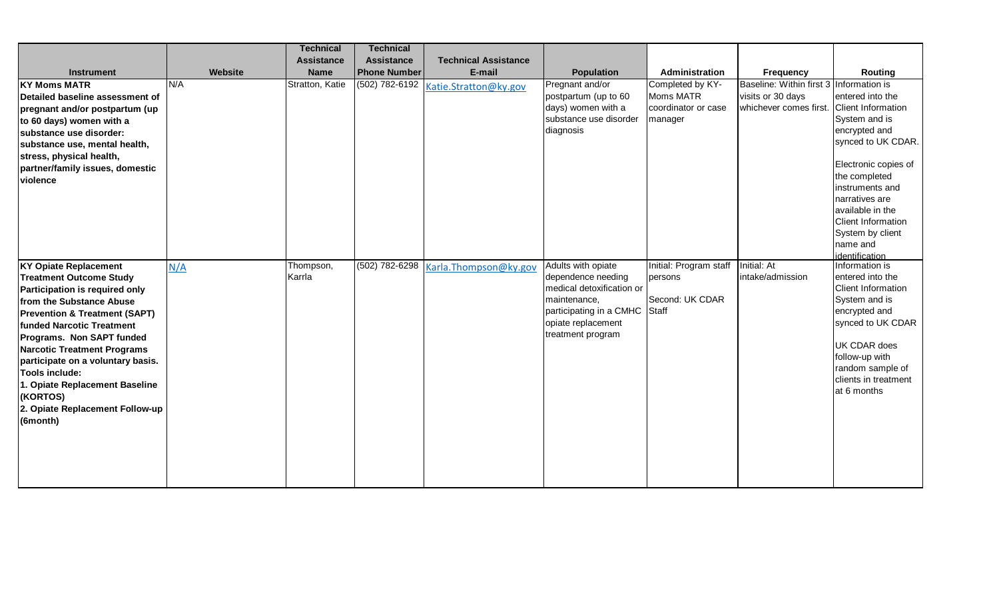|                                                                                                                                                                                                                                                                                                                                                                                                                       |         | <b>Technical</b>    | <b>Technical</b>    |                             |                                                                                                                                                                   |                                                                        |                                                                         |                                                                                                                                                                                                                                                                                 |
|-----------------------------------------------------------------------------------------------------------------------------------------------------------------------------------------------------------------------------------------------------------------------------------------------------------------------------------------------------------------------------------------------------------------------|---------|---------------------|---------------------|-----------------------------|-------------------------------------------------------------------------------------------------------------------------------------------------------------------|------------------------------------------------------------------------|-------------------------------------------------------------------------|---------------------------------------------------------------------------------------------------------------------------------------------------------------------------------------------------------------------------------------------------------------------------------|
|                                                                                                                                                                                                                                                                                                                                                                                                                       |         | <b>Assistance</b>   | <b>Assistance</b>   | <b>Technical Assistance</b> |                                                                                                                                                                   |                                                                        |                                                                         |                                                                                                                                                                                                                                                                                 |
| <b>Instrument</b>                                                                                                                                                                                                                                                                                                                                                                                                     | Website | <b>Name</b>         | <b>Phone Number</b> | E-mail                      | <b>Population</b>                                                                                                                                                 | Administration                                                         | Frequency                                                               | Routing                                                                                                                                                                                                                                                                         |
| <b>KY Moms MATR</b><br><b>IDetailed baseline assessment of</b><br>pregnant and/or postpartum (up<br>to 60 days) women with a<br>substance use disorder:<br>substance use, mental health,<br>stress, physical health,<br>partner/family issues, domestic<br>violence                                                                                                                                                   | N/A     | Stratton, Katie     | (502) 782-6192      | Katie.Stratton@ky.gov       | Pregnant and/or<br>postpartum (up to 60<br>days) women with a<br>substance use disorder<br>diagnosis                                                              | Completed by KY-<br><b>Moms MATR</b><br>coordinator or case<br>manager | Baseline: Within first 3<br>visits or 30 days<br>whichever comes first. | Information is<br>entered into the<br><b>Client Information</b><br>System and is<br>encrypted and<br>synced to UK CDAR.<br>Electronic copies of<br>the completed<br>instruments and<br>narratives are<br>available in the<br>Client Information<br>System by client<br>name and |
| <b>KY Opiate Replacement</b><br><b>Treatment Outcome Study</b><br>Participation is required only<br>from the Substance Abuse<br><b>Prevention &amp; Treatment (SAPT)</b><br>funded Narcotic Treatment<br>Programs. Non SAPT funded<br>Narcotic Treatment Programs<br>participate on a voluntary basis.<br>Tools include:<br>1. Opiate Replacement Baseline<br>(KORTOS)<br>2. Opiate Replacement Follow-up<br>(6month) | N/A     | Thompson,<br>Karrla | (502) 782-6298      | Karla.Thompson@ky.gov       | Adults with opiate<br>dependence needing<br>medical detoxification or<br>maintenance,<br>participating in a CMHC Staff<br>opiate replacement<br>treatment program | Initial: Program staff<br>persons<br>Second: UK CDAR                   | Initial: At<br>intake/admission                                         | identification<br>Information is<br>entered into the<br><b>Client Information</b><br>System and is<br>encrypted and<br>synced to UK CDAR<br><b>UK CDAR does</b><br>follow-up with<br>random sample of<br>clients in treatment<br>at 6 months                                    |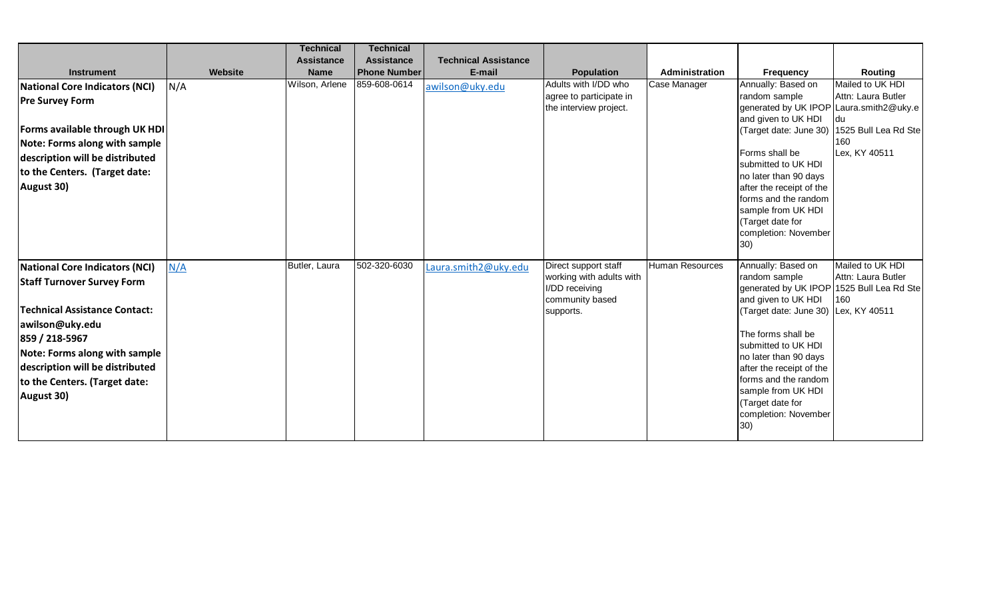|                                       |         | <b>Technical</b>  | <b>Technical</b>    |                             |                          |                 |                                               |                            |
|---------------------------------------|---------|-------------------|---------------------|-----------------------------|--------------------------|-----------------|-----------------------------------------------|----------------------------|
|                                       |         | <b>Assistance</b> | <b>Assistance</b>   | <b>Technical Assistance</b> |                          |                 |                                               |                            |
| <b>Instrument</b>                     | Website | <b>Name</b>       | <b>Phone Number</b> | E-mail                      | <b>Population</b>        | Administration  | <b>Frequency</b>                              | Routing                    |
| National Core Indicators (NCI)        | N/A     | Wilson, Arlene    | 859-608-0614        | awilson@uky.edu             | Adults with I/DD who     | Case Manager    | Annually: Based on                            | Mailed to UK HDI           |
| <b>Pre Survey Form</b>                |         |                   |                     |                             | agree to participate in  |                 | random sample                                 | Attn: Laura Butler         |
|                                       |         |                   |                     |                             | the interview project.   |                 | generated by UK IPOP                          | Laura.smith2@uky.e         |
| <b>Forms available through UK HDI</b> |         |                   |                     |                             |                          |                 | and given to UK HDI<br>(Target date: June 30) | du<br>1525 Bull Lea Rd Ste |
|                                       |         |                   |                     |                             |                          |                 |                                               | 160                        |
| <b>Note: Forms along with sample</b>  |         |                   |                     |                             |                          |                 | Forms shall be                                | Lex, KY 40511              |
| description will be distributed       |         |                   |                     |                             |                          |                 | submitted to UK HDI                           |                            |
| to the Centers. (Target date:         |         |                   |                     |                             |                          |                 | no later than 90 days                         |                            |
| August 30)                            |         |                   |                     |                             |                          |                 | after the receipt of the                      |                            |
|                                       |         |                   |                     |                             |                          |                 | forms and the random                          |                            |
|                                       |         |                   |                     |                             |                          |                 | sample from UK HDI                            |                            |
|                                       |         |                   |                     |                             |                          |                 | (Target date for                              |                            |
|                                       |         |                   |                     |                             |                          |                 | completion: November<br>30)                   |                            |
|                                       |         |                   |                     |                             |                          |                 |                                               |                            |
| National Core Indicators (NCI)        | N/A     | Butler, Laura     | 502-320-6030        | Laura.smith2@uky.edu        | Direct support staff     | Human Resources | Annually: Based on                            | Mailed to UK HDI           |
| <b>Staff Turnover Survey Form</b>     |         |                   |                     |                             | working with adults with |                 | random sample                                 | Attn: Laura Butler         |
|                                       |         |                   |                     |                             | I/DD receiving           |                 | generated by UK IPOP                          | 1525 Bull Lea Rd Ste       |
| Technical Assistance Contact:         |         |                   |                     |                             | community based          |                 | and given to UK HDI                           | 160                        |
|                                       |         |                   |                     |                             | supports.                |                 | (Target date: June 30)                        | Lex, KY 40511              |
| awilson@uky.edu                       |         |                   |                     |                             |                          |                 | The forms shall be                            |                            |
| 859 / 218-5967                        |         |                   |                     |                             |                          |                 | submitted to UK HDI                           |                            |
| <b>Note: Forms along with sample</b>  |         |                   |                     |                             |                          |                 | no later than 90 days                         |                            |
| description will be distributed       |         |                   |                     |                             |                          |                 | after the receipt of the                      |                            |
| to the Centers. (Target date:         |         |                   |                     |                             |                          |                 | forms and the random                          |                            |
| August 30)                            |         |                   |                     |                             |                          |                 | sample from UK HDI                            |                            |
|                                       |         |                   |                     |                             |                          |                 | (Target date for                              |                            |
|                                       |         |                   |                     |                             |                          |                 | completion: November<br>30)                   |                            |
|                                       |         |                   |                     |                             |                          |                 |                                               |                            |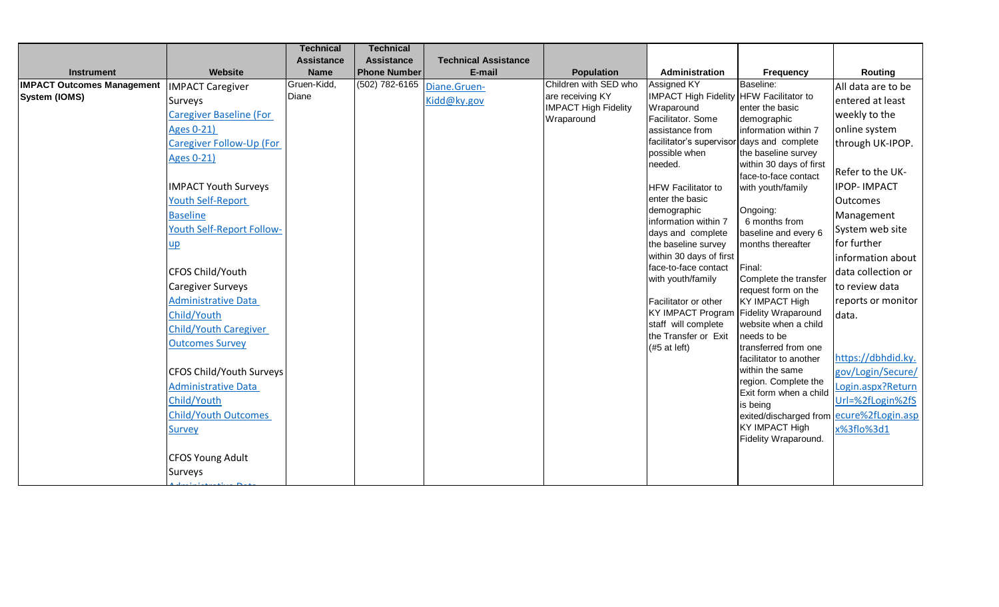|                                   |                                  | <b>Technical</b>  | <b>Technical</b>    |                             |                             |                                                               |                                          |                    |
|-----------------------------------|----------------------------------|-------------------|---------------------|-----------------------------|-----------------------------|---------------------------------------------------------------|------------------------------------------|--------------------|
|                                   |                                  | <b>Assistance</b> | <b>Assistance</b>   | <b>Technical Assistance</b> |                             |                                                               |                                          |                    |
| <b>Instrument</b>                 | Website                          | <b>Name</b>       | <b>Phone Number</b> | E-mail                      | <b>Population</b>           | Administration                                                | Frequency                                | Routing            |
| <b>IMPACT Outcomes Management</b> | <b>IMPACT Caregiver</b>          | Gruen-Kidd,       | (502) 782-6165      | Diane.Gruen-                | Children with SED who       | Assigned KY                                                   | Baseline:                                | All data are to be |
| System (IOMS)                     | Surveys                          | Diane             |                     | Kidd@ky.gov                 | are receiving KY            | IMPACT High Fidelity HFW Facilitator to                       |                                          | entered at least   |
|                                   | Caregiver Baseline (For          |                   |                     |                             | <b>IMPACT High Fidelity</b> | Wraparound<br>Facilitator. Some                               | enter the basic                          | weekly to the      |
|                                   | <b>Ages 0-21)</b>                |                   |                     |                             | Wraparound                  | assistance from                                               | demographic<br>information within 7      | online system      |
|                                   | Caregiver Follow-Up (For         |                   |                     |                             |                             | facilitator's supervisor days and complete                    |                                          | through UK-IPOP.   |
|                                   |                                  |                   |                     |                             |                             | possible when                                                 | the baseline survey                      |                    |
|                                   | <b>Ages 0-21)</b>                |                   |                     |                             |                             | needed.                                                       | within 30 days of first                  |                    |
|                                   |                                  |                   |                     |                             |                             |                                                               | face-to-face contact                     | Refer to the UK-   |
|                                   | <b>IMPACT Youth Surveys</b>      |                   |                     |                             |                             | <b>HFW Facilitator to</b>                                     | with youth/family                        | <b>IPOP-IMPACT</b> |
|                                   | <b>Youth Self-Report</b>         |                   |                     |                             |                             | enter the basic                                               |                                          | <b>Outcomes</b>    |
|                                   | <b>Baseline</b>                  |                   |                     |                             |                             | demographic<br>information within 7                           | Ongoing:<br>6 months from                | Management         |
|                                   | <b>Youth Self-Report Follow-</b> |                   |                     |                             |                             | days and complete                                             | baseline and every 6                     | System web site    |
|                                   | <u>up</u>                        |                   |                     |                             |                             | the baseline survey                                           | months thereafter                        | for further        |
|                                   |                                  |                   |                     |                             |                             | within 30 days of first                                       |                                          | information about  |
|                                   | CFOS Child/Youth                 |                   |                     |                             |                             | face-to-face contact                                          | Final:                                   | data collection or |
|                                   | Caregiver Surveys                |                   |                     |                             |                             | with youth/family                                             | Complete the transfer                    | to review data     |
|                                   | <b>Administrative Data</b>       |                   |                     |                             |                             |                                                               | request form on the                      |                    |
|                                   |                                  |                   |                     |                             |                             | Facilitator or other<br>KY IMPACT Program Fidelity Wraparound | <b>KY IMPACT High</b>                    | reports or monitor |
|                                   | Child/Youth                      |                   |                     |                             |                             | staff will complete                                           | website when a child                     | data.              |
|                                   | <b>Child/Youth Caregiver</b>     |                   |                     |                             |                             | the Transfer or Exit                                          | needs to be                              |                    |
|                                   | <b>Outcomes Survey</b>           |                   |                     |                             |                             | $(#5$ at left)                                                | transferred from one                     |                    |
|                                   |                                  |                   |                     |                             |                             |                                                               | facilitator to another                   | https://dbhdid.ky. |
|                                   | CFOS Child/Youth Surveys         |                   |                     |                             |                             |                                                               | within the same                          | gov/Login/Secure/  |
|                                   | <b>Administrative Data</b>       |                   |                     |                             |                             |                                                               | region. Complete the                     | Login.aspx?Return  |
|                                   | Child/Youth                      |                   |                     |                             |                             |                                                               | Exit form when a child<br>is being       | Url=%2fLogin%2fS   |
|                                   | <b>Child/Youth Outcomes</b>      |                   |                     |                             |                             |                                                               | exited/discharged from ecure%2fLogin.asp |                    |
|                                   | <b>Survey</b>                    |                   |                     |                             |                             |                                                               | <b>KY IMPACT High</b>                    | x%3flo%3d1         |
|                                   |                                  |                   |                     |                             |                             |                                                               | Fidelity Wraparound.                     |                    |
|                                   |                                  |                   |                     |                             |                             |                                                               |                                          |                    |
|                                   | <b>CFOS Young Adult</b>          |                   |                     |                             |                             |                                                               |                                          |                    |
|                                   | Surveys                          |                   |                     |                             |                             |                                                               |                                          |                    |
|                                   |                                  |                   |                     |                             |                             |                                                               |                                          |                    |